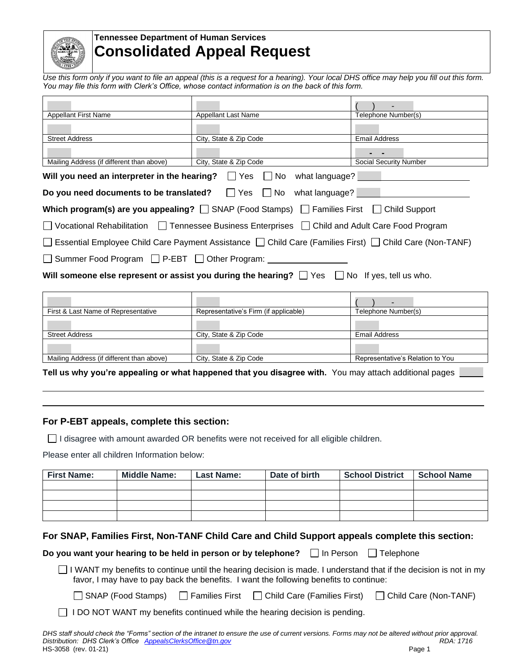

# **Tennessee Department of Human Services Consolidated Appeal Request**

*Use this form only if you want to file an appeal (this is a request for a hearing). Your local DHS office may help you fill out this form. You may file this form with Clerk's Office, whose contact information is on the back of this form.* 

|                                                                                                          |                        | ۰.                     |  |
|----------------------------------------------------------------------------------------------------------|------------------------|------------------------|--|
| <b>Appellant First Name</b>                                                                              | Appellant Last Name    | Telephone Number(s)    |  |
|                                                                                                          |                        |                        |  |
| <b>Street Address</b>                                                                                    | City, State & Zip Code | <b>Email Address</b>   |  |
|                                                                                                          |                        |                        |  |
| Mailing Address (if different than above)                                                                | City, State & Zip Code | Social Security Number |  |
| Will you need an interpreter in the hearing? $\Box$ Yes $\Box$ No what language?                         |                        |                        |  |
| Do you need documents to be translated? $\Box$ Yes $\Box$ No what language?                              |                        |                        |  |
| Which program(s) are you appealing? $\Box$ SNAP (Food Stamps) $\Box$ Families First $\Box$ Child Support |                        |                        |  |
| □ Vocational Rehabilitation □ Tennessee Business Enterprises □ Child and Adult Care Food Program         |                        |                        |  |
| □ Essential Employee Child Care Payment Assistance □ Child Care (Families First) □ Child Care (Non-TANF) |                        |                        |  |
| □ Summer Food Program □ P-EBT □ Other Program:                                                           |                        |                        |  |
| Will someone else represent or assist you during the hearing? $\Box$ Yes $\Box$ No If yes, tell us who.  |                        |                        |  |

|                                           |                                       | -                                |
|-------------------------------------------|---------------------------------------|----------------------------------|
| First & Last Name of Representative       | Representative's Firm (if applicable) | Telephone Number(s)              |
|                                           |                                       |                                  |
| <b>Street Address</b>                     | City, State & Zip Code                | <b>Email Address</b>             |
|                                           |                                       |                                  |
| Mailing Address (if different than above) | City, State & Zip Code                | Representative's Relation to You |
|                                           |                                       |                                  |

**Tell us why you're appealing or what happened that you disagree with.** You may attach additional pages **that** 

#### **For P-EBT appeals, complete this section:**

 $\Box$  I disagree with amount awarded OR benefits were not received for all eligible children.

Please enter all children Information below:

| <b>First Name:</b> | <b>Middle Name:</b> | <b>Last Name:</b> | Date of birth | <b>School District</b> | <b>School Name</b> |
|--------------------|---------------------|-------------------|---------------|------------------------|--------------------|
|                    |                     |                   |               |                        |                    |
|                    |                     |                   |               |                        |                    |
|                    |                     |                   |               |                        |                    |
|                    |                     |                   |               |                        |                    |

## **For SNAP, Families First, Non-TANF Child Care and Child Support appeals complete this section:**

**Do you want your hearing to be held in person or by telephone?** In Person  $\Box$  Telephone

 $\Box$  I WANT my benefits to continue until the hearing decision is made. I understand that if the decision is not in my favor, I may have to pay back the benefits. I want the following benefits to continue:

□ SNAP (Food Stamps) □ Families First □ Child Care (Families First) □ Child Care (Non-TANF)

 $\Box$  I DO NOT WANT my benefits continued while the hearing decision is pending.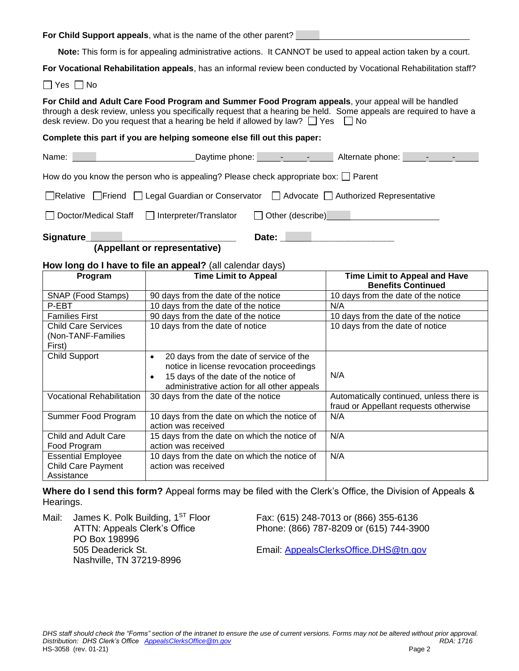**For Child Support appeals**, what is the name of the other parent?

**Note:** This form is for appealing administrative actions. It CANNOT be used to appeal action taken by a court.

**For Vocational Rehabilitation appeals**, has an informal review been conducted by Vocational Rehabilitation staff?

 $\Box$  Yes  $\Box$  No

**For Child and Adult Care Food Program and Summer Food Program appeals**, your appeal will be handled through a desk review, unless you specifically request that a hearing be held. Some appeals are required to have a desk review. Do you request that a hearing be held if allowed by law?  $\Box$  Yes  $\Box$  No

**Complete this part if you are helping someone else fill out this paper:**

|                                                                                           | Daytime phone: <u>______________________</u> Alternate phone: ________________________ |
|-------------------------------------------------------------------------------------------|----------------------------------------------------------------------------------------|
| How do you know the person who is appealing? Please check appropriate box: $\Box$ Parent  |                                                                                        |
| □Relative □ Friend □ Legal Guardian or Conservator □ Advocate □ Authorized Representative |                                                                                        |
|                                                                                           |                                                                                        |
| Signature_                                                                                | Date:                                                                                  |

 **(Appellant or representative)**

#### **How long do I have to file an appeal?** (all calendar days)

| Program                          | <b>Time Limit to Appeal</b>                          | <b>Time Limit to Appeal and Have</b>     |
|----------------------------------|------------------------------------------------------|------------------------------------------|
|                                  |                                                      | <b>Benefits Continued</b>                |
| SNAP (Food Stamps)               | 90 days from the date of the notice                  | 10 days from the date of the notice      |
| P-EBT                            | 10 days from the date of the notice                  | N/A                                      |
| <b>Families First</b>            | 90 days from the date of the notice                  | 10 days from the date of the notice      |
| <b>Child Care Services</b>       | 10 days from the date of notice                      | 10 days from the date of notice          |
| (Non-TANF-Families               |                                                      |                                          |
| First)                           |                                                      |                                          |
| <b>Child Support</b>             | 20 days from the date of service of the<br>$\bullet$ |                                          |
|                                  | notice in license revocation proceedings             |                                          |
|                                  | 15 days of the date of the notice of<br>$\bullet$    | N/A                                      |
|                                  | administrative action for all other appeals          |                                          |
| <b>Vocational Rehabilitation</b> | 30 days from the date of the notice                  | Automatically continued, unless there is |
|                                  |                                                      | fraud or Appellant requests otherwise    |
| Summer Food Program              | 10 days from the date on which the notice of         | N/A                                      |
|                                  | action was received                                  |                                          |
| Child and Adult Care             | 15 days from the date on which the notice of         | N/A                                      |
| Food Program                     | action was received                                  |                                          |
| <b>Essential Employee</b>        | 10 days from the date on which the notice of         | N/A                                      |
| <b>Child Care Payment</b>        | action was received                                  |                                          |
| Assistance                       |                                                      |                                          |

**Where do I send this form?** Appeal forms may be filed with the Clerk's Office, the Division of Appeals & Hearings.

Mail: James K. Polk Building, 1<sup>ST</sup> Floor Fax: (615) 248-7013 or (866) 355-6136 PO Box 198996 Nashville, TN 37219-8996

ATTN: Appeals Clerk's Office Phone: (866) 787-8209 or (615) 744-3900

505 Deaderick St. Email: [AppealsClerksOffice.DHS@tn.gov](mailto:AppealsClerksOffice.DHS@tn.gov)